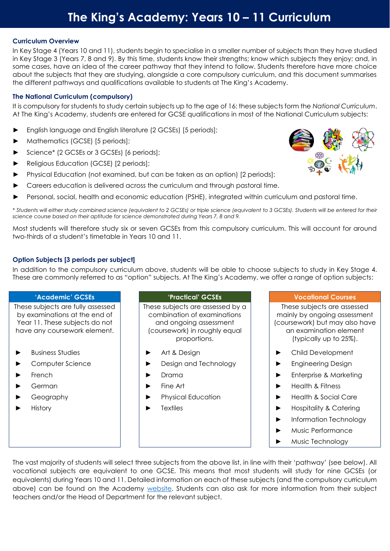# **The King's Academy: Years 10 – 11 Curriculum**

### **Curriculum Overview**

In Key Stage 4 (Years 10 and 11), students begin to specialise in a smaller number of subjects than they have studied in Key Stage 3 (Years 7, 8 and 9). By this time, students know their strengths; know which subjects they enjoy; and, in some cases, have an idea of the career pathway that they intend to follow. Students therefore have more choice about the subjects that they are studying, alongside a core compulsory curriculum, and this document summarises the different pathways and qualifications available to students at The King's Academy.

## **The National Curriculum (compulsory)**

It is compulsory for students to study certain subjects up to the age of 16: these subjects form the *National Curriculum*. At The King's Academy, students are entered for GCSE qualifications in most of the National Curriculum subjects:

- English language and English literature (2 GCSEs) [5 periods];
- Mathematics (GCSE) [5 periods];
- Science\* (2 GCSEs or 3 GCSEs) [6 periods];
- ► Religious Education (GCSE) [2 periods];
- Physical Education (not examined, but can be taken as an option) [2 periods];
- Careers education is delivered across the curriculum and through pastoral time.
- Personal, social, health and economic education (PSHE), integrated within curriculum and pastoral time.

\* *Students will either study combined science (equivalent to 2 GCSEs) or triple science (equivalent to 3 GCSEs). Students will be entered for their science course based on their aptitude for science demonstrated during Years 7, 8 and 9.* 

Most students will therefore study six or seven GCSEs from this compulsory curriculum. This will account for around two-thirds of a student's timetable in Years 10 and 11.

# **Option Subjects [3 periods per subject]**

In addition to the compulsory curriculum above, students will be able to choose subjects to study in Key Stage 4. These are commonly referred to as "option" subjects. At The King's Academy, we offer a range of option subjects:

These subjects are fully assessed by examinations at the end of Year 11. These subjects do not have any coursework element.

- 
- 
- 
- 
- 
- 

These subjects are assessed by a combination of examinations and ongoing assessment (coursework) in roughly equal proportions.

- 
- ► Computer Science ► Design and Technology ► Engineering Design
	-
	-
	-
	-

### **'Academic' GCSEs 'Practical' GCSEs Vocational Courses**

These subjects are assessed mainly by ongoing assessment (coursework) but may also have an examination element (typically up to 25%).

- ► Business Studies ► Art & Design ► Child Development
	-
- ► French ► Drama ► Enterprise & Marketing
- ► German ► Fine Art ► Health & Fitness
	- ► Geography ► Physical Education ► Health & Social Care
- ► History 
→ History

→ History

→ Hospitality & Catering
	- ► Information Technology
	- ► Music Performance
	- Music Technology

The vast majority of students will select three subjects from the above list, in line with their 'pathway' (see below). All vocational subjects are equivalent to one GCSE. This means that most students will study for nine GCSEs (or equivalents) during Years 10 and 11. Detailed information on each of these subjects (and the compulsory curriculum above) can be found on the Academy [website.](https://www.thekingsacademy.org.uk/students/pathways/) Students can also ask for more information from their subject teachers and/or the Head of Department for the relevant subject.